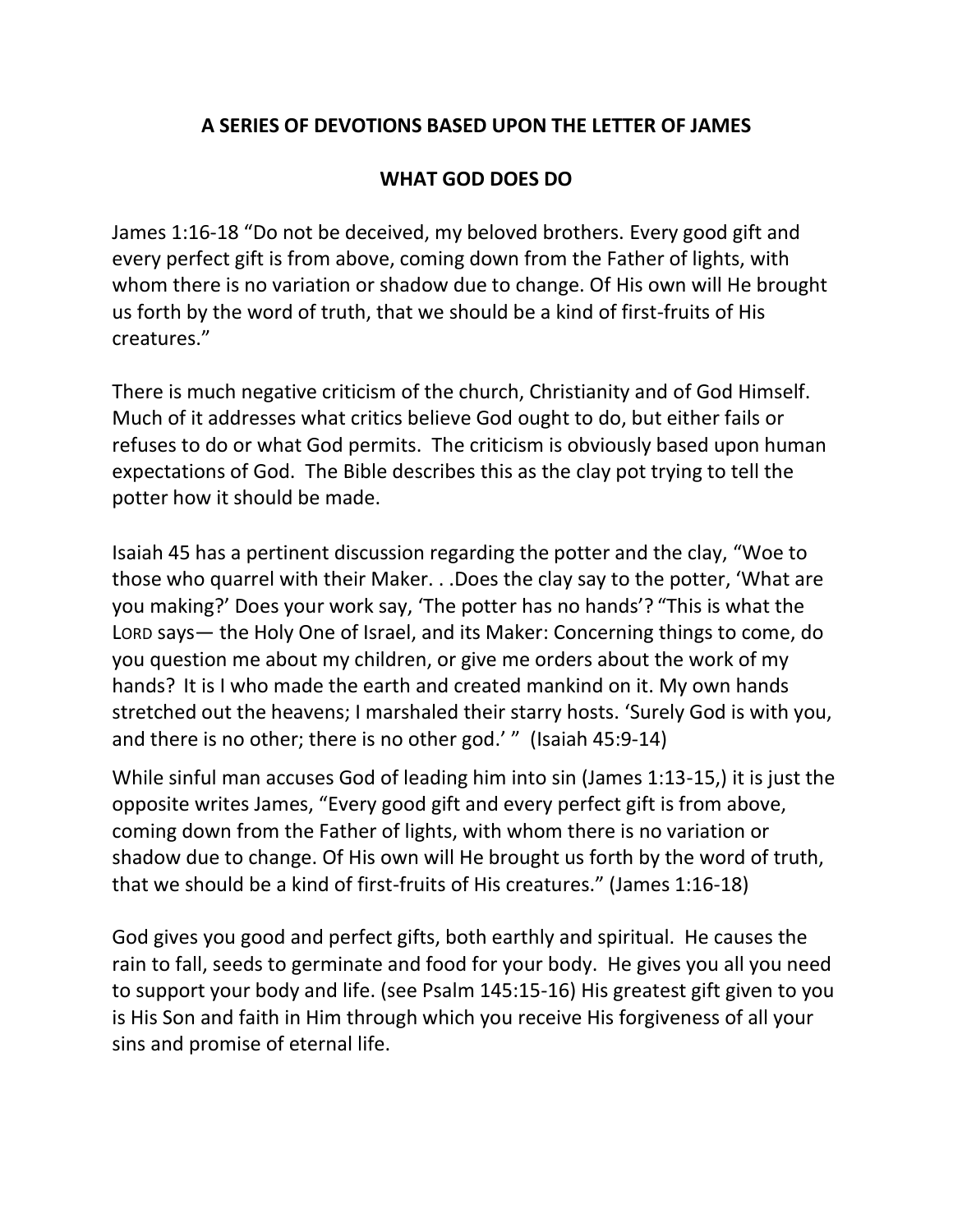## **A SERIES OF DEVOTIONS BASED UPON THE LETTER OF JAMES**

## **WHAT GOD DOES DO**

James 1:16-18 "Do not be deceived, my beloved brothers. Every good gift and every perfect gift is from above, coming down from the Father of lights, with whom there is no variation or shadow due to change. Of His own will He brought us forth by the word of truth, that we should be a kind of first-fruits of His creatures."

There is much negative criticism of the church, Christianity and of God Himself. Much of it addresses what critics believe God ought to do, but either fails or refuses to do or what God permits. The criticism is obviously based upon human expectations of God. The Bible describes this as the clay pot trying to tell the potter how it should be made.

Isaiah 45 has a pertinent discussion regarding the potter and the clay, "Woe to those who quarrel with their Maker. . .Does the clay say to the potter, 'What are you making?' Does your work say, 'The potter has no hands'? "This is what the LORD says— the Holy One of Israel, and its Maker: Concerning things to come, do you question me about my children, or give me orders about the work of my hands? It is I who made the earth and created mankind on it. My own hands stretched out the heavens; I marshaled their starry hosts. 'Surely God is with you, and there is no other; there is no other god.' " (Isaiah 45:9-14)

While sinful man accuses God of leading him into sin (James 1:13-15,) it is just the opposite writes James, "Every good gift and every perfect gift is from above, coming down from the Father of lights, with whom there is no variation or shadow due to change. Of His own will He brought us forth by the word of truth, that we should be a kind of first-fruits of His creatures." (James 1:16-18)

God gives you good and perfect gifts, both earthly and spiritual. He causes the rain to fall, seeds to germinate and food for your body. He gives you all you need to support your body and life. (see Psalm 145:15-16) His greatest gift given to you is His Son and faith in Him through which you receive His forgiveness of all your sins and promise of eternal life.